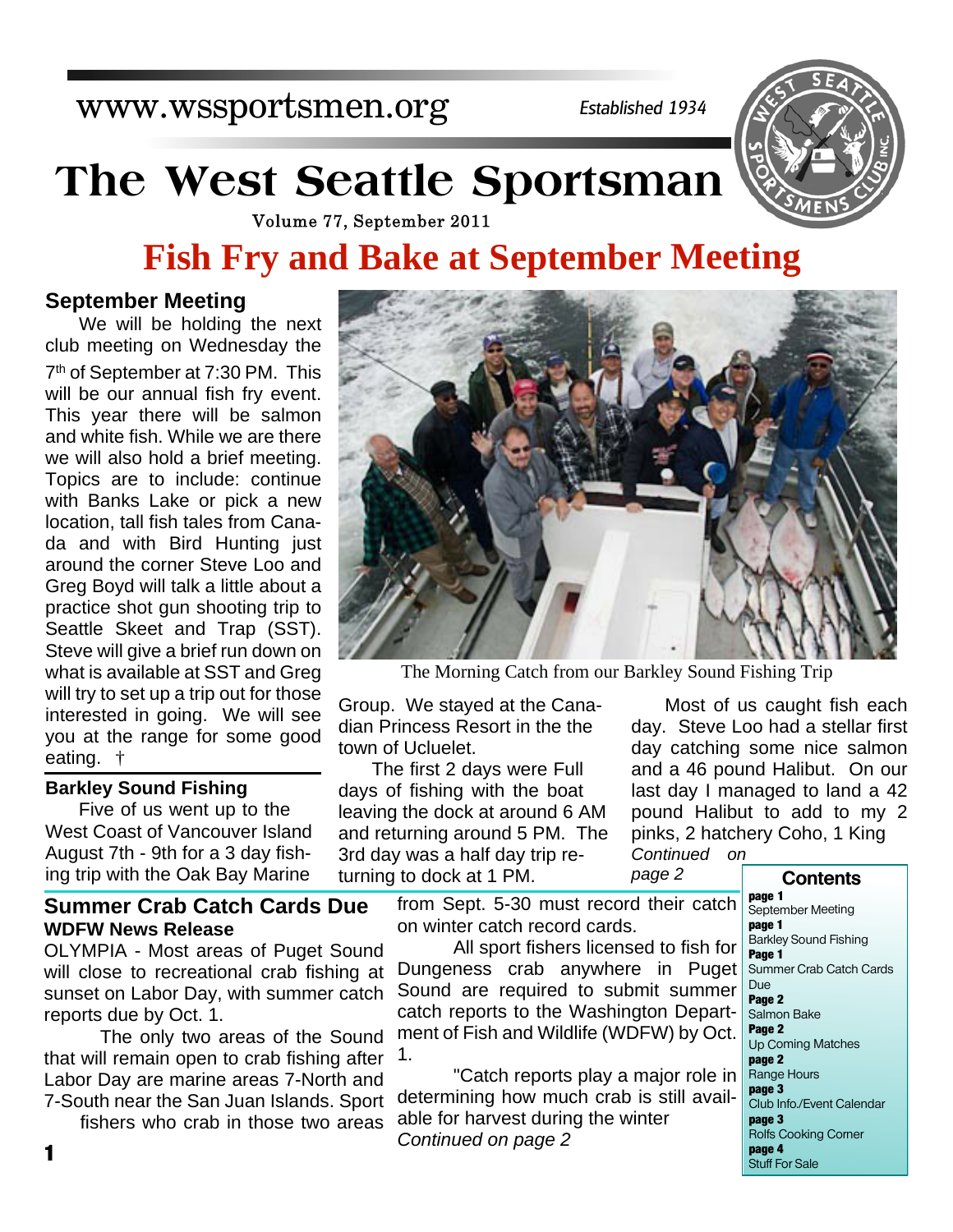www.wssportsmen.org

*Established 1934*

# **The West Seattle Sportsman**



Volume 77, September 2011

## **Fish Fry and Bake at September Meeting**

#### **September Meeting**

We will be holding the next club meeting on Wednesday the 7 th of September at 7:30 PM. This will be our annual fish fry event. This year there will be salmon and white fish. While we are there we will also hold a brief meeting. Topics are to include: continue with Banks Lake or pick a new location, tall fish tales from Canada and with Bird Hunting just around the corner Steve Loo and Greg Boyd will talk a little about a practice shot gun shooting trip to Seattle Skeet and Trap (SST). Steve will give a brief run down on what is available at SST and Greg will try to set up a trip out for those interested in going. We will see you at the range for some good eating. †

#### **Barkley Sound Fishing**

Five of us went up to the West Coast of Vancouver Island August 7th - 9th for a 3 day fishing trip with the Oak Bay Marine

#### **Summer Crab Catch Cards Due WDFW News Release**

OLYMPIA - Most areas of Puget Sound will close to recreational crab fishing at sunset on Labor Day, with summer catch reports due by Oct. 1.

 The only two areas of the Sound that will remain open to crab fishing after Labor Day are marine areas 7-North and 7-South near the San Juan Islands. Sp

fishers who crab in those two are



The Morning Catch from our Barkley Sound Fishing Trip

Group. We stayed at the Canadian Princess Resort in the the town of Ucluelet.

The first 2 days were Full days of fishing with the boat leaving the dock at around 6 AM and returning around 5 PM. The 3rd day was a half day trip returning to dock at 1 PM.

Most of us caught fish each day. Steve Loo had a stellar first day catching some nice salmon and a 46 pound Halibut. On our last day I managed to land a 42 pound Halibut to add to my 2 pinks, 2 hatchery Coho, 1 King

*Continued on page 2*

**page 1** September Meeting **page 1** Barkley Sound Fishing **Page 1** Summer Crab Catch Cards Due **Page 2** Salmon Bake **Page 2** Up Coming Matches **page 2** Range Hours **page 3** Club Info./Event Calendar **page 3** Rolfs Cooking Corner **page 4** from Sept. 5-30 must record their catch on winter catch record cards. All sport fishers licensed to fish for Dungeness crab anywhere in Puget Sound are required to submit summer catch reports to the Washington Department of Fish and Wildlife (WDFW) by Oct. 1. "Catch reports play a major role in determining how much crab is still available for harvest during the winter *Continued on page 2* **<sup>1</sup>**

| .<br>port |  |
|-----------|--|
| eas       |  |
|           |  |
|           |  |

| page 1                       |
|------------------------------|
| September Meeting            |
| page 1                       |
| <b>Barkley Sound Fishing</b> |
| Page 1                       |
| Summer Crab Catch Cards      |
| Due                          |
| Page 2                       |
| Salmon Bake                  |
| Page 2                       |
| <b>Up Coming Matches</b>     |
| page 2                       |
| Range Hours                  |
| page 3                       |
| Club Info./Event Calendar    |
| page 3                       |
| <b>Rolfs Cooking Corner</b>  |
| page 4                       |
| <b>Stuff For Sale</b>        |
|                              |

**Contents**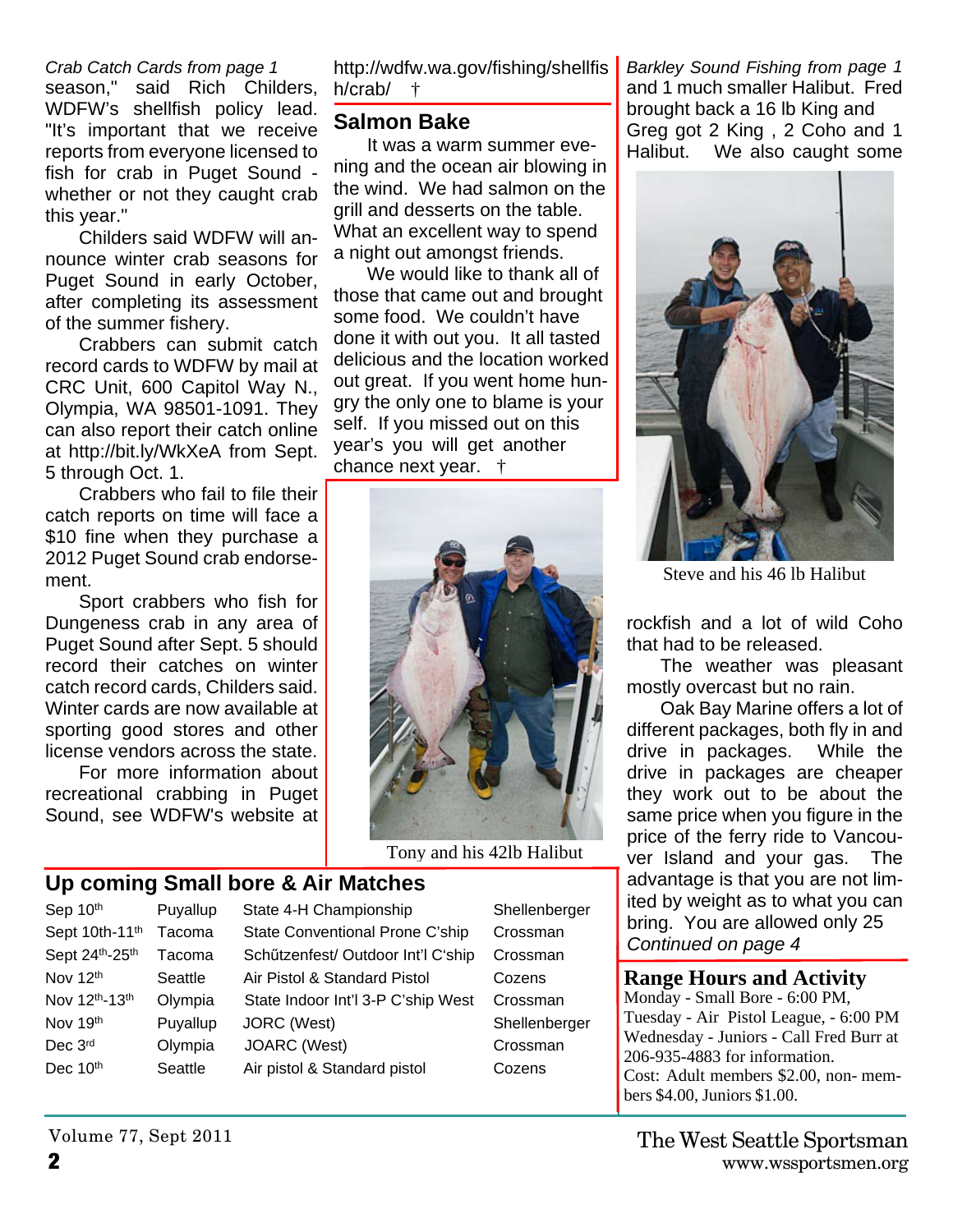*Crab Catch Cards from page 1* season," said Rich Childers, WDFW's shellfish policy lead. "It's important that we receive reports from everyone licensed to fish for crab in Puget Sound whether or not they caught crab this year."

Childers said WDFW will announce winter crab seasons for Puget Sound in early October, after completing its assessment of the summer fishery.

Crabbers can submit catch record cards to WDFW by mail at CRC Unit, 600 Capitol Way N., Olympia, WA 98501-1091. They can also report their catch online at http://bit.ly/WkXeA from Sept. 5 through Oct. 1.

Crabbers who fail to file their catch reports on time will face a \$10 fine when they purchase a 2012 Puget Sound crab endorsement.

Sport crabbers who fish for Dungeness crab in any area of Puget Sound after Sept. 5 should record their catches on winter catch record cards, Childers said. Winter cards are now available at sporting good stores and other license vendors across the state.

For more information about recreational crabbing in Puget Sound, see WDFW's website at http://wdfw.wa.gov/fishing/shellfis h/crab/ †

#### **Salmon Bake**

It was a warm summer evening and the ocean air blowing in the wind. We had salmon on the grill and desserts on the table. What an excellent way to spend a night out amongst friends.

We would like to thank all of those that came out and brought some food. We couldn't have done it with out you. It all tasted delicious and the location worked out great. If you went home hungry the only one to blame is your self. If you missed out on this year's you will get another chance next year. †



Tony and his 42lb Halibut

#### **Up coming Small bore & Air Matches**

| Sep 10 <sup>th</sup>                    | Puyallup | State 4-H Championship             | Shellenbe |
|-----------------------------------------|----------|------------------------------------|-----------|
| Sept 10th-11 <sup>th</sup>              | Tacoma   | State Conventional Prone C'ship    | Crossman  |
| Sept 24 <sup>th</sup> -25 <sup>th</sup> | Tacoma   | Schützenfest/ Outdoor Int'l C'ship | Crossman  |
| Nov 12 <sup>th</sup>                    | Seattle  | Air Pistol & Standard Pistol       | Cozens    |
| Nov 12 <sup>th</sup> -13 <sup>th</sup>  | Olympia  | State Indoor Int'l 3-P C'ship West | Crossman  |
| Nov 19 <sup>th</sup>                    | Puyallup | JORC (West)                        | Shellenbe |
| Dec 3rd                                 | Olympia  | JOARC (West)                       | Crossman  |
| Dec 10 <sup>th</sup>                    | Seattle  | Air pistol & Standard pistol       | Cozens    |
|                                         |          |                                    |           |

Shellenberger Crossman Crossman Shellenberger Crossman

*Barkley Sound Fishing from page 1* and 1 much smaller Halibut. Fred brought back a 16 lb King and Greg got 2 King , 2 Coho and 1 Halibut. We also caught some



Steve and his 46 lb Halibut

rockfish and a lot of wild Coho that had to be released.

The weather was pleasant mostly overcast but no rain.

Oak Bay Marine offers a lot of different packages, both fly in and drive in packages. While the drive in packages are cheaper they work out to be about the same price when you figure in the price of the ferry ride to Vancouver Island and your gas. The advantage is that you are not limited by weight as to what you can bring. You are allowed only 25 *Continued on page 4*

#### **Range Hours and Activity**

Monday - Small Bore - 6:00 PM, Tuesday - Air Pistol League, - 6:00 PM Wednesday - Juniors - Call Fred Burr at 206-935-4883 for information. Cost: Adult members \$2.00, non- members \$4.00, Juniors \$1.00.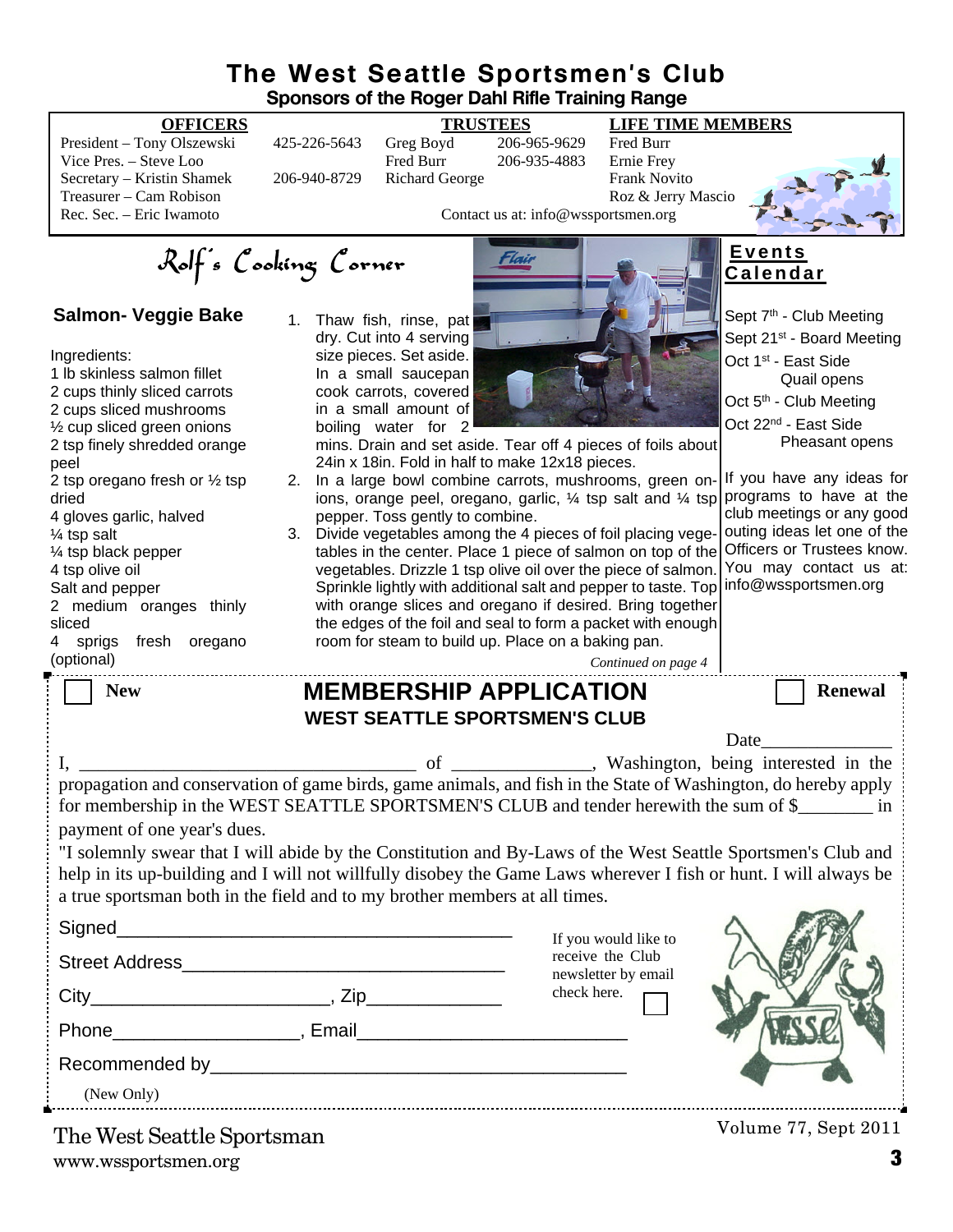#### **The West Seattle Sportsmen's Club Sponsors of the Roger Dahl Rifle Training Range**

President – Tony Olszewski 425-226-5643 Greg Boyd 206-965-9629 Fred Burr Vice Pres. – Steve Loo Fred Burr 206-935-4883 Secretary – Kristin Shamek 206-940-8729 Richard George Frank Novito Treasurer – Cam Robison Roz & Jerry Mascio<br>
Rec. Sec. – Eric Iwamoto Roz & Jerry Mascio<br>
Contact us at: info@wssportsmen.org

#### **OFFICERS TRUSTEES LIFE TIME MEMBERS**

*Continued on page 4*



Sept 7<sup>th</sup> - Club Meeting Sept 21<sup>st</sup> - Board Meeting

 Quail opens Oct 5<sup>th</sup> - Club Meeting Oct 22nd - East Side

Pheasant opens

Oct 1<sup>st</sup> - East Side

**E v e n t s C a l e n d a r**

Contact us at: info@wssportsmen.org

Rolf's Cooking Corner

#### **Salmon- Veggie Bake**

#### Ingredients: 1 lb skinless salmon fillet 2 cups thinly sliced carrots 2 cups sliced mushrooms ½ cup sliced green onions 2 tsp finely shredded orange peel 2 tsp oregano fresh or ½ tsp dried 4 gloves garlic, halved ¼ tsp salt ¼ tsp black pepper 4 tsp olive oil Salt and pepper 2 medium oranges thinly sliced<br>4 sp sprigs fresh oregano

(optional)

1. Thaw fish, rinse, pat dry. Cut into 4 serving size pieces. Set aside. In a small saucepan cook carrots, covered in a small amount of boiling water for 2



mins. Drain and set aside. Tear off 4 pieces of foils about 24in x 18in. Fold in half to make 12x18 pieces.

- 2. In a large bowl combine carrots, mushrooms, green onions, orange peel, oregano, garlic, ¼ tsp salt and ¼ tsp programs to have at the pepper. Toss gently to combine.
- 3. Divide vegetables among the 4 pieces of foil placing vegetables in the center. Place 1 piece of salmon on top of the vegetables. Drizzle 1 tsp olive oil over the piece of salmon. Sprinkle lightly with additional salt and pepper to taste. Top with orange slices and oregano if desired. Bring together the edges of the foil and seal to form a packet with enough room for steam to build up. Place on a baking pan.

If you have any ideas for club meetings or any good outing ideas let one of the Officers or Trustees know. You may contact us at: info@wssportsmen.org

| <b>New</b>                                                                                                | <b>MEMBERSHIP APPLICATION</b><br><b>WEST SEATTLE SPORTSMEN'S CLUB</b> | <b>Renewal</b>                                                                                                                                                                                                                                                                                                                                                                                                                                                                     |  |  |
|-----------------------------------------------------------------------------------------------------------|-----------------------------------------------------------------------|------------------------------------------------------------------------------------------------------------------------------------------------------------------------------------------------------------------------------------------------------------------------------------------------------------------------------------------------------------------------------------------------------------------------------------------------------------------------------------|--|--|
|                                                                                                           |                                                                       | <b>Date</b>                                                                                                                                                                                                                                                                                                                                                                                                                                                                        |  |  |
| payment of one year's dues.<br>a true sportsman both in the field and to my brother members at all times. |                                                                       | washington, being interested in the<br>propagation and conservation of game birds, game animals, and fish in the State of Washington, do hereby apply<br>for membership in the WEST SEATTLE SPORTSMEN'S CLUB and tender herewith the sum of \$<br>"I solemnly swear that I will abide by the Constitution and By-Laws of the West Seattle Sportsmen's Club and<br>help in its up-building and I will not willfully disobey the Game Laws wherever I fish or hunt. I will always be |  |  |
|                                                                                                           | If you would like to                                                  |                                                                                                                                                                                                                                                                                                                                                                                                                                                                                    |  |  |
|                                                                                                           | newsletter by email                                                   | receive the Club                                                                                                                                                                                                                                                                                                                                                                                                                                                                   |  |  |
|                                                                                                           | check here.                                                           |                                                                                                                                                                                                                                                                                                                                                                                                                                                                                    |  |  |
|                                                                                                           |                                                                       |                                                                                                                                                                                                                                                                                                                                                                                                                                                                                    |  |  |
| (New Only)                                                                                                |                                                                       |                                                                                                                                                                                                                                                                                                                                                                                                                                                                                    |  |  |
| The West Seattle Sportsman                                                                                |                                                                       | Volume 77, Sept 2011                                                                                                                                                                                                                                                                                                                                                                                                                                                               |  |  |

www.wssportsmen.org **3** The West Seattle Sportsman